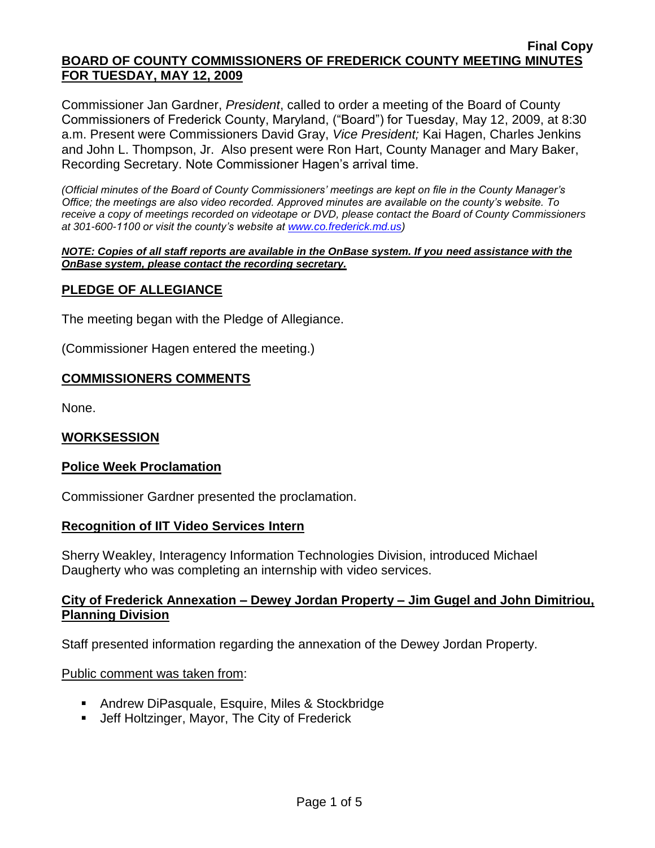Commissioner Jan Gardner, *President*, called to order a meeting of the Board of County Commissioners of Frederick County, Maryland, ("Board") for Tuesday, May 12, 2009, at 8:30 a.m. Present were Commissioners David Gray, *Vice President;* Kai Hagen, Charles Jenkins and John L. Thompson, Jr. Also present were Ron Hart, County Manager and Mary Baker, Recording Secretary. Note Commissioner Hagen's arrival time.

*(Official minutes of the Board of County Commissioners' meetings are kept on file in the County Manager's Office; the meetings are also video recorded. Approved minutes are available on the county's website. To receive a copy of meetings recorded on videotape or DVD, please contact the Board of County Commissioners at 301-600-1100 or visit the county's website at [www.co.frederick.md.us\)](http://www.co.frederick.md.us/)*

#### *NOTE: Copies of all staff reports are available in the OnBase system. If you need assistance with the OnBase system, please contact the recording secretary.*

## **PLEDGE OF ALLEGIANCE**

The meeting began with the Pledge of Allegiance.

(Commissioner Hagen entered the meeting.)

## **COMMISSIONERS COMMENTS**

None.

## **WORKSESSION**

### **Police Week Proclamation**

Commissioner Gardner presented the proclamation.

### **Recognition of IIT Video Services Intern**

Sherry Weakley, Interagency Information Technologies Division, introduced Michael Daugherty who was completing an internship with video services.

### **City of Frederick Annexation – Dewey Jordan Property – Jim Gugel and John Dimitriou, Planning Division**

Staff presented information regarding the annexation of the Dewey Jordan Property.

### Public comment was taken from:

- Andrew DiPasquale, Esquire, Miles & Stockbridge
- **Jeff Holtzinger, Mayor, The City of Frederick**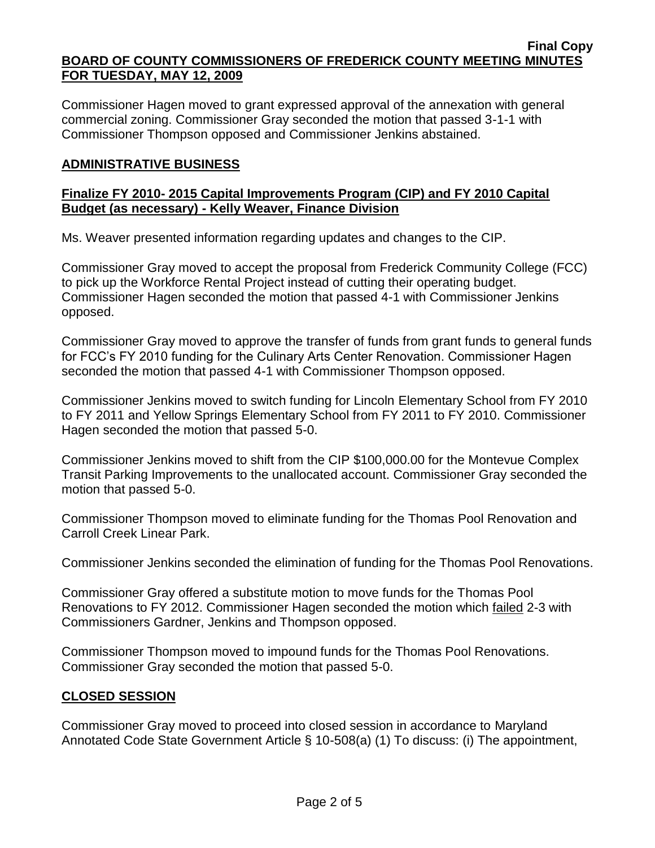Commissioner Hagen moved to grant expressed approval of the annexation with general commercial zoning. Commissioner Gray seconded the motion that passed 3-1-1 with Commissioner Thompson opposed and Commissioner Jenkins abstained.

## **ADMINISTRATIVE BUSINESS**

## **Finalize FY 2010- 2015 Capital Improvements Program (CIP) and FY 2010 Capital Budget (as necessary) - Kelly Weaver, Finance Division**

Ms. Weaver presented information regarding updates and changes to the CIP.

Commissioner Gray moved to accept the proposal from Frederick Community College (FCC) to pick up the Workforce Rental Project instead of cutting their operating budget. Commissioner Hagen seconded the motion that passed 4-1 with Commissioner Jenkins opposed.

Commissioner Gray moved to approve the transfer of funds from grant funds to general funds for FCC's FY 2010 funding for the Culinary Arts Center Renovation. Commissioner Hagen seconded the motion that passed 4-1 with Commissioner Thompson opposed.

Commissioner Jenkins moved to switch funding for Lincoln Elementary School from FY 2010 to FY 2011 and Yellow Springs Elementary School from FY 2011 to FY 2010. Commissioner Hagen seconded the motion that passed 5-0.

Commissioner Jenkins moved to shift from the CIP \$100,000.00 for the Montevue Complex Transit Parking Improvements to the unallocated account. Commissioner Gray seconded the motion that passed 5-0.

Commissioner Thompson moved to eliminate funding for the Thomas Pool Renovation and Carroll Creek Linear Park.

Commissioner Jenkins seconded the elimination of funding for the Thomas Pool Renovations.

Commissioner Gray offered a substitute motion to move funds for the Thomas Pool Renovations to FY 2012. Commissioner Hagen seconded the motion which failed 2-3 with Commissioners Gardner, Jenkins and Thompson opposed.

Commissioner Thompson moved to impound funds for the Thomas Pool Renovations. Commissioner Gray seconded the motion that passed 5-0.

## **CLOSED SESSION**

Commissioner Gray moved to proceed into closed session in accordance to Maryland Annotated Code State Government Article § 10-508(a) (1) To discuss: (i) The appointment,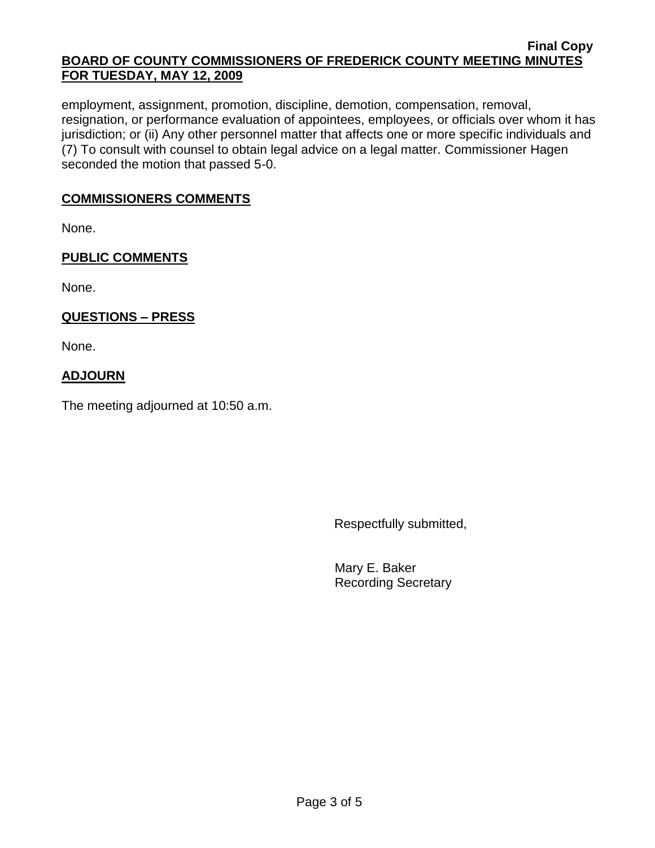employment, assignment, promotion, discipline, demotion, compensation, removal, resignation, or performance evaluation of appointees, employees, or officials over whom it has jurisdiction; or (ii) Any other personnel matter that affects one or more specific individuals and (7) To consult with counsel to obtain legal advice on a legal matter. Commissioner Hagen seconded the motion that passed 5-0.

## **COMMISSIONERS COMMENTS**

None.

## **PUBLIC COMMENTS**

None.

# **QUESTIONS – PRESS**

None.

# **ADJOURN**

The meeting adjourned at 10:50 a.m.

Respectfully submitted,

Mary E. Baker Recording Secretary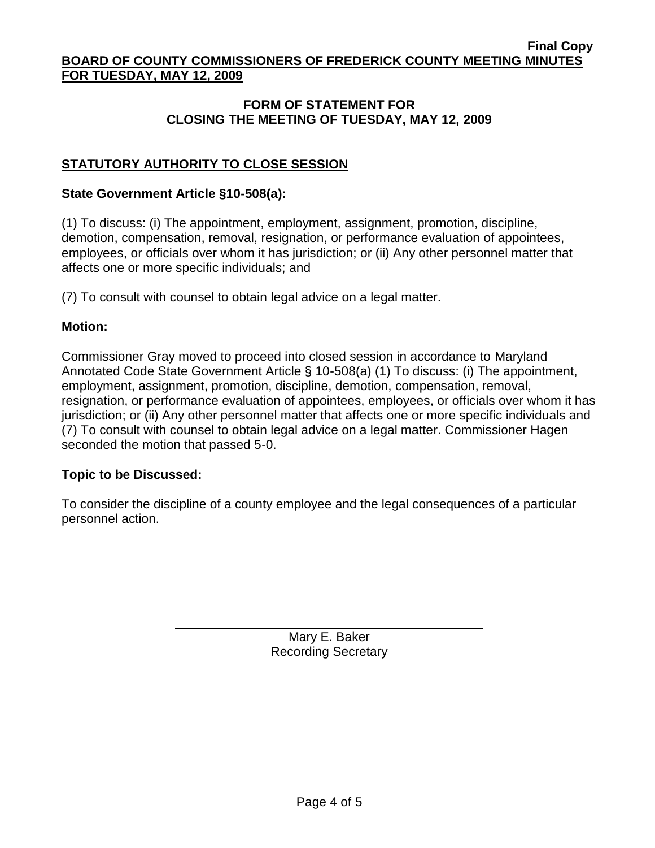## **FORM OF STATEMENT FOR CLOSING THE MEETING OF TUESDAY, MAY 12, 2009**

# **STATUTORY AUTHORITY TO CLOSE SESSION**

### **State Government Article §10-508(a):**

(1) To discuss: (i) The appointment, employment, assignment, promotion, discipline, demotion, compensation, removal, resignation, or performance evaluation of appointees, employees, or officials over whom it has jurisdiction; or (ii) Any other personnel matter that affects one or more specific individuals; and

(7) To consult with counsel to obtain legal advice on a legal matter.

### **Motion:**

Commissioner Gray moved to proceed into closed session in accordance to Maryland Annotated Code State Government Article § 10-508(a) (1) To discuss: (i) The appointment, employment, assignment, promotion, discipline, demotion, compensation, removal, resignation, or performance evaluation of appointees, employees, or officials over whom it has jurisdiction; or (ii) Any other personnel matter that affects one or more specific individuals and (7) To consult with counsel to obtain legal advice on a legal matter. Commissioner Hagen seconded the motion that passed 5-0.

## **Topic to be Discussed:**

To consider the discipline of a county employee and the legal consequences of a particular personnel action.

> Mary E. Baker Recording Secretary